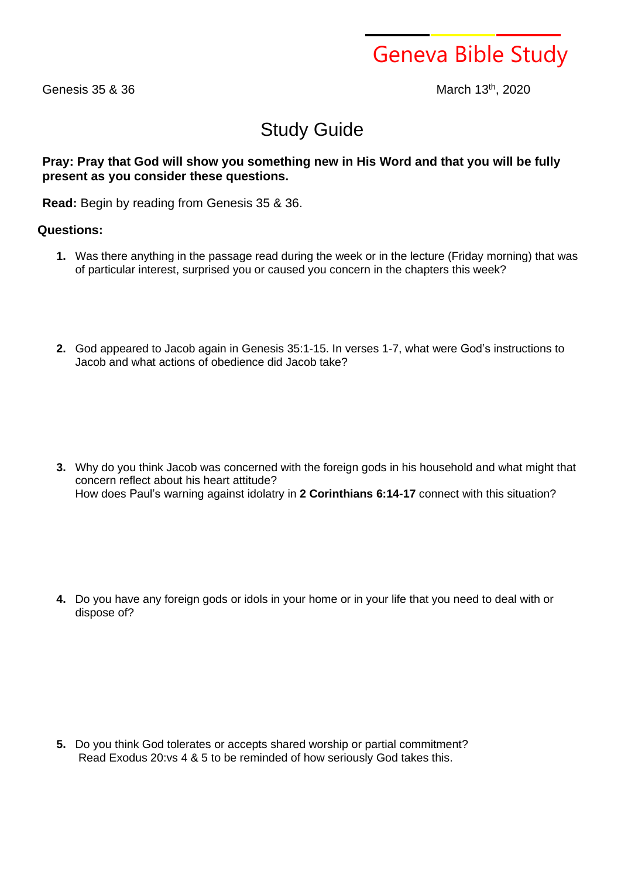Geneva Bible Study

Genesis 35 & 36

March 13th, 2020

## Study Guide

## **Pray: Pray that God will show you something new in His Word and that you will be fully present as you consider these questions.**

**Read:** Begin by reading from Genesis 35 & 36.

## **Questions:**

- **1.** Was there anything in the passage read during the week or in the lecture (Friday morning) that was of particular interest, surprised you or caused you concern in the chapters this week?
- **2.** God appeared to Jacob again in Genesis 35:1-15. In verses 1-7, what were God's instructions to Jacob and what actions of obedience did Jacob take?

**3.** Why do you think Jacob was concerned with the foreign gods in his household and what might that concern reflect about his heart attitude? How does Paul's warning against idolatry in **2 Corinthians 6:14-17** connect with this situation?

**4.** Do you have any foreign gods or idols in your home or in your life that you need to deal with or dispose of?

**5.** Do you think God tolerates or accepts shared worship or partial commitment? Read Exodus 20:vs 4 & 5 to be reminded of how seriously God takes this.